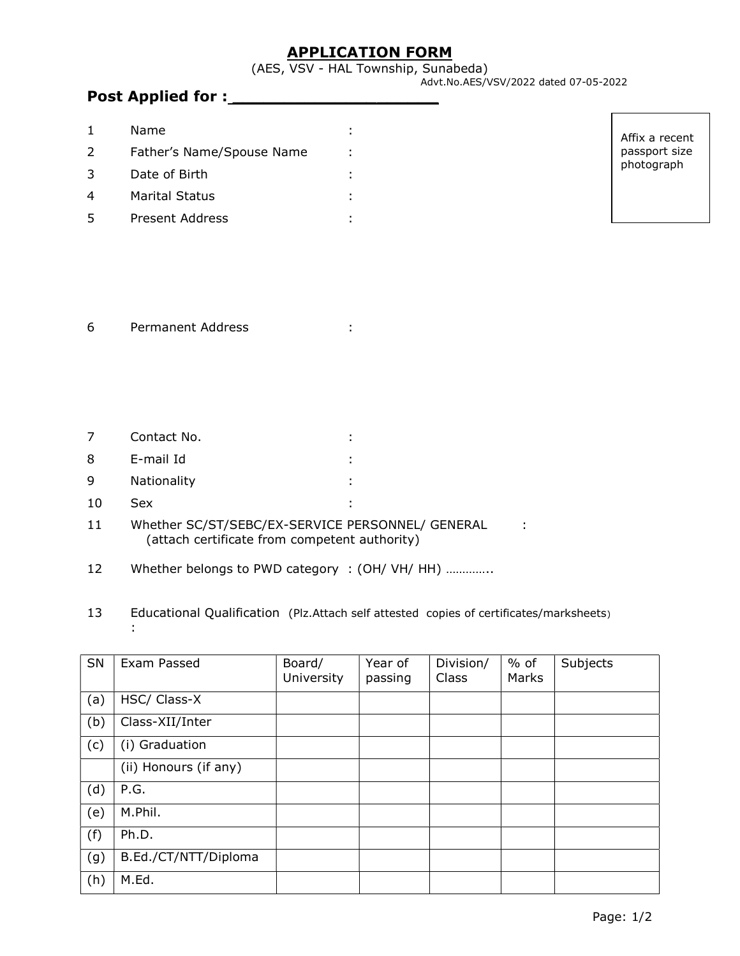# APPLICATION FORM

(AES, VSV - HAL Township, Sunabeda)

Advt.No.AES/VSV/2022 dated 07-05-2022

### Post Applied for : \_\_\_\_\_\_\_\_\_\_\_\_\_\_\_\_\_\_\_\_

|               | Name                      |  |
|---------------|---------------------------|--|
| $\mathcal{L}$ | Father's Name/Spouse Name |  |
| 3             | Date of Birth             |  |
|               | Marital Status            |  |
|               | Present Address           |  |

| Affix a recent |  |  |  |  |  |
|----------------|--|--|--|--|--|
| passport size  |  |  |  |  |  |
| photograph     |  |  |  |  |  |

#### 6 Permanent Address :

| 7  | Contact No. | ٠<br>$\blacksquare$ |
|----|-------------|---------------------|
| 8  | E-mail Id   | ٠<br>٠.             |
| 9  | Nationality | ٠<br>$\blacksquare$ |
| 10 | Sex         |                     |

:

| Whether SC/ST/SEBC/EX-SERVICE PERSONNEL/ GENERAL<br>11 |                                               |  |  |
|--------------------------------------------------------|-----------------------------------------------|--|--|
|                                                        | (attach certificate from competent authority) |  |  |

12 Whether belongs to PWD category : (OH/ VH/ HH) ..............

# 13 Educational Qualification (Plz.Attach self attested copies of certificates/marksheets)

| SN  | Exam Passed           | Board/<br>University | Year of<br>passing | Division/<br>Class | % of<br>Marks | Subjects |
|-----|-----------------------|----------------------|--------------------|--------------------|---------------|----------|
| (a) | HSC/ Class-X          |                      |                    |                    |               |          |
| (b) | Class-XII/Inter       |                      |                    |                    |               |          |
| (c) | (i) Graduation        |                      |                    |                    |               |          |
|     | (ii) Honours (if any) |                      |                    |                    |               |          |
| (d) | P.G.                  |                      |                    |                    |               |          |
| (e) | M.Phil.               |                      |                    |                    |               |          |
| (f) | Ph.D.                 |                      |                    |                    |               |          |
| (g) | B.Ed./CT/NTT/Diploma  |                      |                    |                    |               |          |
| (h) | M.Ed.                 |                      |                    |                    |               |          |